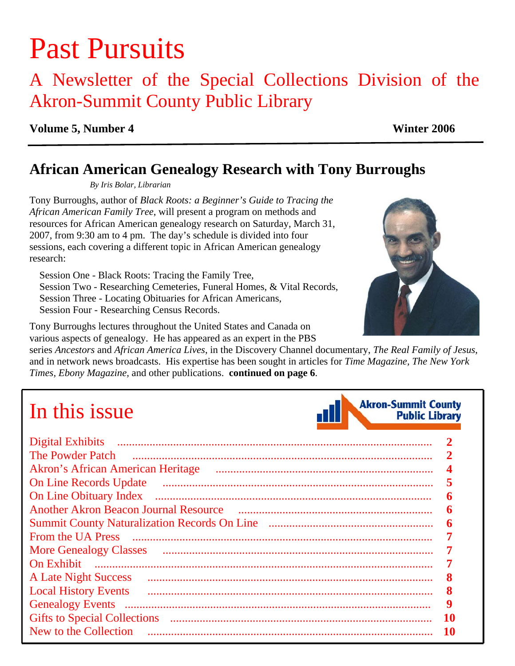# Past Pursuits

## A Newsletter of the Special Collections Division of the Akron-Summit County Public Library

#### **Volume 5, Number 4 Winter 2006**

### **African American Genealogy Research with Tony Burroughs**

*By Iris Bolar, Librarian* 

Tony Burroughs, author of *Black Roots: a Beginner's Guide to Tracing the African American Family Tree*, will present a program on methods and resources for African American genealogy research on Saturday, March 31, 2007, from 9:30 am to 4 pm. The day's schedule is divided into four sessions, each covering a different topic in African American genealogy research:

 Session One - Black Roots: Tracing the Family Tree, Session Two - Researching Cemeteries, Funeral Homes, & Vital Records, Session Three - Locating Obituaries for African Americans, Session Four - Researching Census Records.

Tony Burroughs lectures throughout the United States and Canada on various aspects of genealogy. He has appeared as an expert in the PBS

series *Ancestors* and *African America Lives*, in the Discovery Channel documentary, *The Real Family of Jesus*, and in network news broadcasts. His expertise has been sought in articles for *Time Magazine, The New York Times, Ebony Magazine,* and other publications. **[continued on page 6](#page-5-0)**.

# In this issue

| <b>The Powder Patch</b>                  | $\mathbf{2}$ |
|------------------------------------------|--------------|
| <b>Akron's African American Heritage</b> | 4            |
| <b>On Line Records Update</b>            | 5            |
| <b>On Line Obituary Index</b>            | 6            |
|                                          | 6            |
|                                          | 6            |
| <b>From the UA Press</b>                 | 7            |
| <b>More Genealogy Classes</b>            | 7            |
|                                          |              |
| <b>A Late Night Success</b>              | 8            |
| <b>Local History Events</b>              | 8            |
|                                          | 9            |
|                                          | <b>10</b>    |
| New to the Collection                    | 10           |



**Akron-Summit County** 

**Public Library**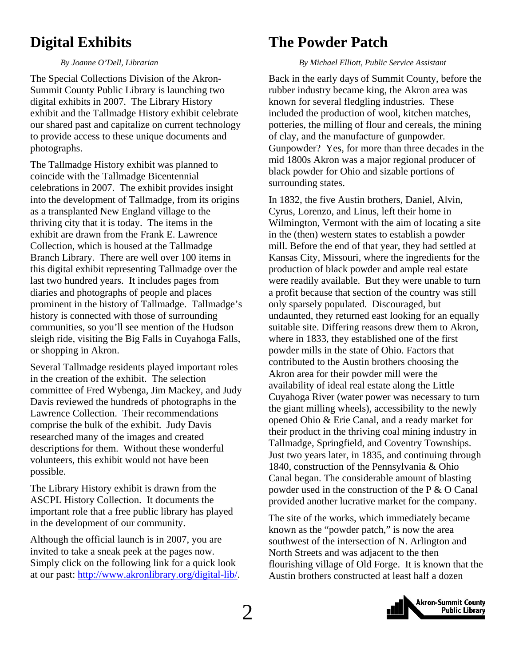### <span id="page-1-0"></span>**Digital Exhibits**

#### *By Joanne O'Dell, Librarian*

The Special Collections Division of the Akron-Summit County Public Library is launching two digital exhibits in 2007. The Library History exhibit and the Tallmadge History exhibit celebrate our shared past and capitalize on current technology to provide access to these unique documents and photographs.

The Tallmadge History exhibit was planned to coincide with the Tallmadge Bicentennial celebrations in 2007. The exhibit provides insight into the development of Tallmadge, from its origins as a transplanted New England village to the thriving city that it is today. The items in the exhibit are drawn from the Frank E. Lawrence Collection, which is housed at the Tallmadge Branch Library. There are well over 100 items in this digital exhibit representing Tallmadge over the last two hundred years. It includes pages from diaries and photographs of people and places prominent in the history of Tallmadge. Tallmadge's history is connected with those of surrounding communities, so you'll see mention of the Hudson sleigh ride, visiting the Big Falls in Cuyahoga Falls, or shopping in Akron.

Several Tallmadge residents played important roles in the creation of the exhibit. The selection committee of Fred Wybenga, Jim Mackey, and Judy Davis reviewed the hundreds of photographs in the Lawrence Collection. Their recommendations comprise the bulk of the exhibit. Judy Davis researched many of the images and created descriptions for them. Without these wonderful volunteers, this exhibit would not have been possible.

The Library History exhibit is drawn from the ASCPL History Collection. It documents the important role that a free public library has played in the development of our community.

Although the official launch is in 2007, you are invited to take a sneak peek at the pages now. Simply click on the following link for a quick look at our past:<http://www.akronlibrary.org/digital-lib/>.

### **The Powder Patch**

#### *By Michael Elliott, Public Service Assistant*

Back in the early days of Summit County, before the rubber industry became king, the Akron area was known for several fledgling industries. These included the production of wool, kitchen matches, potteries, the milling of flour and cereals, the mining of clay, and the manufacture of gunpowder. Gunpowder? Yes, for more than three decades in the mid 1800s Akron was a major regional producer of black powder for Ohio and sizable portions of surrounding states.

In 1832, the five Austin brothers, Daniel, Alvin, Cyrus, Lorenzo, and Linus, left their home in Wilmington, Vermont with the aim of locating a site in the (then) western states to establish a powder mill. Before the end of that year, they had settled at Kansas City, Missouri, where the ingredients for the production of black powder and ample real estate were readily available. But they were unable to turn a profit because that section of the country was still only sparsely populated. Discouraged, but undaunted, they returned east looking for an equally suitable site. Differing reasons drew them to Akron, where in 1833, they established one of the first powder mills in the state of Ohio. Factors that contributed to the Austin brothers choosing the Akron area for their powder mill were the availability of ideal real estate along the Little Cuyahoga River (water power was necessary to turn the giant milling wheels), accessibility to the newly opened Ohio & Erie Canal, and a ready market for their product in the thriving coal mining industry in Tallmadge, Springfield, and Coventry Townships. Just two years later, in 1835, and continuing through 1840, construction of the Pennsylvania & Ohio Canal began. The considerable amount of blasting powder used in the construction of the P & O Canal provided another lucrative market for the company.

The site of the works, which immediately became known as the "powder patch," is now the area southwest of the intersection of N. Arlington and North Streets and was adjacent to the then flourishing village of Old Forge. It is known that the Austin brothers constructed at least half a dozen

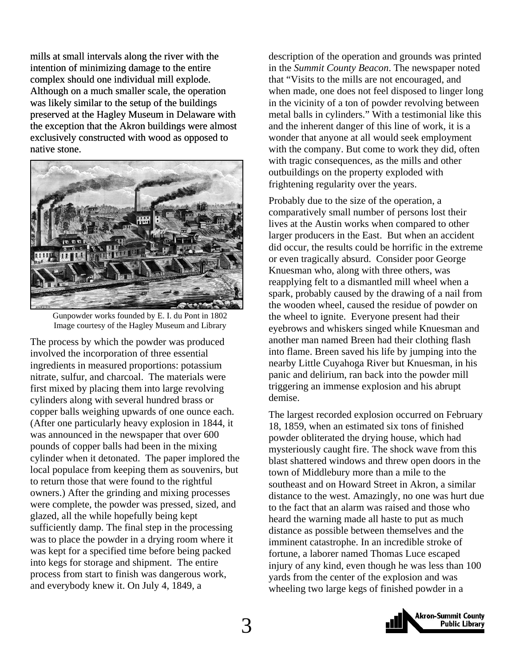mills at small intervals along the river with the intention of minimizing damage to the entire complex should one individual mill explode. Although on a much smaller scale, the operation was likely similar to the setup of the buildings preserved at the Hagley Museum in Delaware with the exception that the Akron buildings were almost exclusively constructed with wood as opposed to native stone.



Gunpowder works founded by E. I. du Pont in 1802 Image courtesy of the Hagley Museum and Library

The process by which the powder was produced involved the incorporation of three essential ingredients in measured proportions: potassium nitrate, sulfur, and charcoal. The materials were first mixed by placing them into large revolving cylinders along with several hundred brass or copper balls weighing upwards of one ounce each. (After one particularly heavy explosion in 1844, it was announced in the newspaper that over 600 pounds of copper balls had been in the mixing cylinder when it detonated. The paper implored the local populace from keeping them as souvenirs, but to return those that were found to the rightful owners.) After the grinding and mixing processes were complete, the powder was pressed, sized, and glazed, all the while hopefully being kept sufficiently damp. The final step in the processing was to place the powder in a drying room where it was kept for a specified time before being packed into kegs for storage and shipment. The entire process from start to finish was dangerous work, and everybody knew it. On July 4, 1849, a

description of the operation and grounds was printed in the *Summit County Beacon*. The newspaper noted that "Visits to the mills are not encouraged, and when made, one does not feel disposed to linger long in the vicinity of a ton of powder revolving between metal balls in cylinders." With a testimonial like this and the inherent danger of this line of work, it is a wonder that anyone at all would seek employment with the company. But come to work they did, often with tragic consequences, as the mills and other outbuildings on the property exploded with frightening regularity over the years.

Probably due to the size of the operation, a comparatively small number of persons lost their lives at the Austin works when compared to other larger producers in the East. But when an accident did occur, the results could be horrific in the extreme or even tragically absurd. Consider poor George Knuesman who, along with three others, was reapplying felt to a dismantled mill wheel when a spark, probably caused by the drawing of a nail from the wooden wheel, caused the residue of powder on the wheel to ignite. Everyone present had their eyebrows and whiskers singed while Knuesman and another man named Breen had their clothing flash into flame. Breen saved his life by jumping into the nearby Little Cuyahoga River but Knuesman, in his panic and delirium, ran back into the powder mill triggering an immense explosion and his abrupt demise.

The largest recorded explosion occurred on February 18, 1859, when an estimated six tons of finished powder obliterated the drying house, which had mysteriously caught fire. The shock wave from this blast shattered windows and threw open doors in the town of Middlebury more than a mile to the southeast and on Howard Street in Akron, a similar distance to the west. Amazingly, no one was hurt due to the fact that an alarm was raised and those who heard the warning made all haste to put as much distance as possible between themselves and the imminent catastrophe. In an incredible stroke of fortune, a laborer named Thomas Luce escaped injury of any kind, even though he was less than 100 yards from the center of the explosion and was wheeling two large kegs of finished powder in a

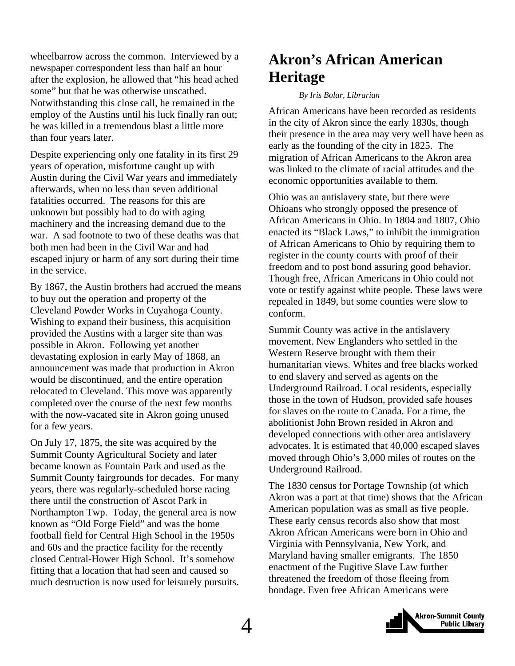<span id="page-3-0"></span>wheelbarrow across the common. Interviewed by a newspaper correspondent less than half an hour after the explosion, he allowed that "his head ached some" but that he was otherwise unscathed. Notwithstanding this close call, he remained in the employ of the Austins until his luck finally ran out; he was killed in a tremendous blast a little more than four years later.

Despite experiencing only one fatality in its first 29 years of operation, misfortune caught up with Austin during the Civil War years and immediately afterwards, when no less than seven additional fatalities occurred. The reasons for this are unknown but possibly had to do with aging machinery and the increasing demand due to the war. A sad footnote to two of these deaths was that both men had been in the Civil War and had escaped injury or harm of any sort during their time in the service.

By 1867, the Austin brothers had accrued the means to buy out the operation and property of the Cleveland Powder Works in Cuyahoga County. Wishing to expand their business, this acquisition provided the Austins with a larger site than was possible in Akron. Following yet another devastating explosion in early May of 1868, an announcement was made that production in Akron would be discontinued, and the entire operation relocated to Cleveland. This move was apparently completed over the course of the next few months with the now-vacated site in Akron going unused for a few years.

On July 17, 1875, the site was acquired by the Summit County Agricultural Society and later became known as Fountain Park and used as the Summit County fairgrounds for decades. For many years, there was regularly-scheduled horse racing there until the construction of Ascot Park in Northampton Twp. Today, the general area is now known as "Old Forge Field" and was the home football field for Central High School in the 1950s and 60s and the practice facility for the recently closed Central-Hower High School. It's somehow fitting that a location that had seen and caused so much destruction is now used for leisurely pursuits.

### **Akron's African American Heritage**

#### *By Iris Bolar, Librarian*

African Americans have been recorded as residents in the city of Akron since the early 1830s, though their presence in the area may very well have been as early as the founding of the city in 1825. The migration of African Americans to the Akron area was linked to the climate of racial attitudes and the economic opportunities available to them.

Ohio was an antislavery state, but there were Ohioans who strongly opposed the presence of African Americans in Ohio. In 1804 and 1807, Ohio enacted its "Black Laws," to inhibit the immigration of African Americans to Ohio by requiring them to register in the county courts with proof of their freedom and to post bond assuring good behavior. Though free, African Americans in Ohio could not vote or testify against white people. These laws were repealed in 1849, but some counties were slow to conform.

Summit County was active in the antislavery movement. New Englanders who settled in the Western Reserve brought with them their humanitarian views. Whites and free blacks worked to end slavery and served as agents on the Underground Railroad. Local residents, especially those in the town of Hudson, provided safe houses for slaves on the route to Canada. For a time, the abolitionist John Brown resided in Akron and developed connections with other area antislavery advocates. It is estimated that 40,000 escaped slaves moved through Ohio's 3,000 miles of routes on the Underground Railroad.

The 1830 census for Portage Township (of which Akron was a part at that time) shows that the African American population was as small as five people. These early census records also show that most Akron African Americans were born in Ohio and Virginia with Pennsylvania, New York, and Maryland having smaller emigrants. The 1850 enactment of the Fugitive Slave Law further threatened the freedom of those fleeing from bondage. Even free African Americans were

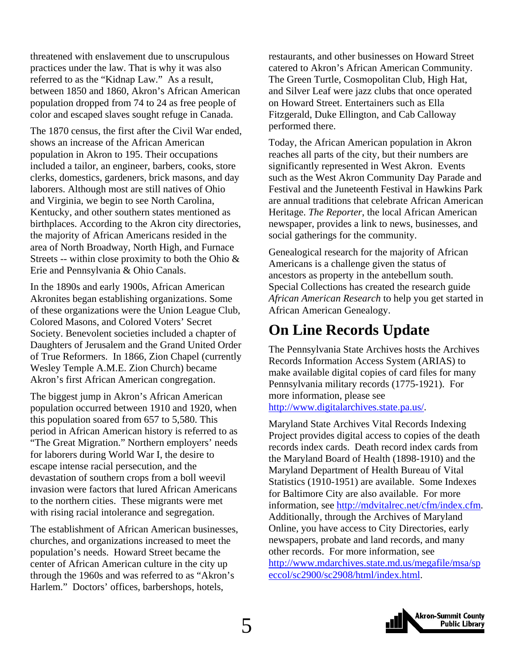<span id="page-4-0"></span>threatened with enslavement due to unscrupulous practices under the law. That is why it was also referred to as the "Kidnap Law." As a result, between 1850 and 1860, Akron's African American population dropped from 74 to 24 as free people of color and escaped slaves sought refuge in Canada.

The 1870 census, the first after the Civil War ended, shows an increase of the African American population in Akron to 195. Their occupations included a tailor, an engineer, barbers, cooks, store clerks, domestics, gardeners, brick masons, and day laborers. Although most are still natives of Ohio and Virginia, we begin to see North Carolina, Kentucky, and other southern states mentioned as birthplaces. According to the Akron city directories, the majority of African Americans resided in the area of North Broadway, North High, and Furnace Streets -- within close proximity to both the Ohio  $\&$ Erie and Pennsylvania & Ohio Canals.

In the 1890s and early 1900s, African American Akronites began establishing organizations. Some of these organizations were the Union League Club, Colored Masons, and Colored Voters' Secret Society. Benevolent societies included a chapter of Daughters of Jerusalem and the Grand United Order of True Reformers. In 1866, Zion Chapel (currently Wesley Temple A.M.E. Zion Church) became Akron's first African American congregation.

The biggest jump in Akron's African American population occurred between 1910 and 1920, when this population soared from 657 to 5,580. This period in African American history is referred to as "The Great Migration." Northern employers' needs for laborers during World War I, the desire to escape intense racial persecution, and the devastation of southern crops from a boll weevil invasion were factors that lured African Americans to the northern cities. These migrants were met with rising racial intolerance and segregation.

The establishment of African American businesses, churches, and organizations increased to meet the population's needs. Howard Street became the center of African American culture in the city up through the 1960s and was referred to as "Akron's Harlem." Doctors' offices, barbershops, hotels,

restaurants, and other businesses on Howard Street catered to Akron's African American Community. The Green Turtle, Cosmopolitan Club, High Hat, and Silver Leaf were jazz clubs that once operated on Howard Street. Entertainers such as Ella Fitzgerald, Duke Ellington, and Cab Calloway performed there.

Today, the African American population in Akron reaches all parts of the city, but their numbers are significantly represented in West Akron. Events such as the West Akron Community Day Parade and Festival and the Juneteenth Festival in Hawkins Park are annual traditions that celebrate African American Heritage. *The Reporter*, the local African American newspaper, provides a link to news, businesses, and social gatherings for the community.

Genealogical research for the majority of African Americans is a challenge given the status of ancestors as property in the antebellum south. Special Collections has created the research guide *African American Research* to help you get started in African American Genealogy.

### **On Line Records Update**

The Pennsylvania State Archives hosts the Archives Records Information Access System (ARIAS) to make available digital copies of card files for many Pennsylvania military records (1775-1921). For more information, please see <http://www.digitalarchives.state.pa.us/>.

Maryland State Archives Vital Records Indexing Project provides digital access to copies of the death records index cards. Death record index cards from the Maryland Board of Health (1898-1910) and the Maryland Department of Health Bureau of Vital Statistics (1910-1951) are available. Some Indexes for Baltimore City are also available. For more information, see [http://mdvitalrec.net/cfm/index.cfm.](http://mdvitalrec.net/cfm/index.cfm) Additionally, through the Archives of Maryland Online, you have access to City Directories, early newspapers, probate and land records, and many other records. For more information, see [http://www.mdarchives.state.md.us/megafile/msa/sp](http://www.mdarchives.state.md.us/megafile/msa/speccol/sc2900/sc2908/html/index.html) [eccol/sc2900/sc2908/html/index.html.](http://www.mdarchives.state.md.us/megafile/msa/speccol/sc2900/sc2908/html/index.html)

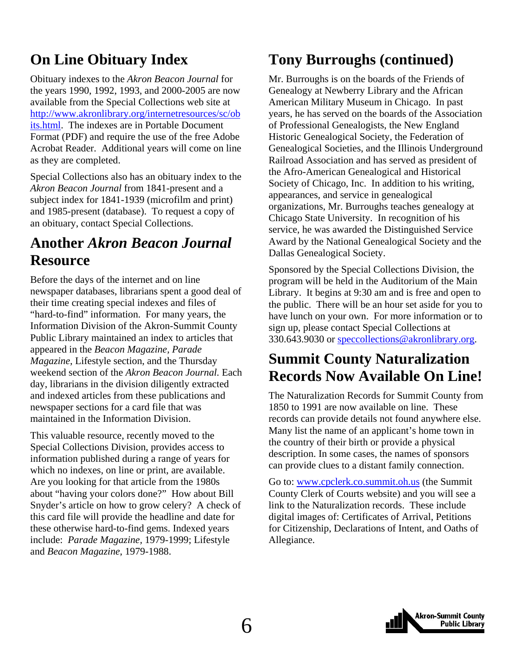### <span id="page-5-0"></span>**On Line Obituary Index**

Obituary indexes to the *Akron Beacon Journal* for the years 1990, 1992, 1993, and 2000-2005 are now available from the Special Collections web site at [http://www.akronlibrary.org/internetresources/sc/ob](http://www.akronlibrary.org/internetresources/sc/obits.html) [its.html](http://www.akronlibrary.org/internetresources/sc/obits.html). The indexes are in Portable Document Format (PDF) and require the use of the free Adobe Acrobat Reader. Additional years will come on line as they are completed.

Special Collections also has an obituary index to the *Akron Beacon Journal* from 1841-present and a subject index for 1841-1939 (microfilm and print) and 1985-present (database). To request a copy of an obituary, contact Special Collections.

### **Another** *Akron Beacon Journal*  **Resource**

Before the days of the internet and on line newspaper databases, librarians spent a good deal of their time creating special indexes and files of "hard-to-find" information. For many years, the Information Division of the Akron-Summit County Public Library maintained an index to articles that appeared in the *Beacon Magazine, Parade Magazine*, Lifestyle section, and the Thursday weekend section of the *Akron Beacon Journal.* Each day, librarians in the division diligently extracted and indexed articles from these publications and newspaper sections for a card file that was maintained in the Information Division.

This valuable resource, recently moved to the Special Collections Division, provides access to information published during a range of years for which no indexes, on line or print, are available. Are you looking for that article from the 1980s about "having your colors done?" How about Bill Snyder's article on how to grow celery? A check of this card file will provide the headline and date for these otherwise hard-to-find gems. Indexed years include: *Parade Magazine,* 1979-1999; Lifestyle and *Beacon Magazine*, 1979-1988.

### **Tony Burroughs (continued)**

Mr. Burroughs is on the boards of the Friends of Genealogy at Newberry Library and the African American Military Museum in Chicago. In past years, he has served on the boards of the Association of Professional Genealogists, the New England Historic Genealogical Society, the Federation of Genealogical Societies, and the Illinois Underground Railroad Association and has served as president of the Afro-American Genealogical and Historical Society of Chicago, Inc. In addition to his writing, appearances, and service in genealogical organizations, Mr. Burroughs teaches genealogy at Chicago State University. In recognition of his service, he was awarded the Distinguished Service Award by the National Genealogical Society and the Dallas Genealogical Society.

Sponsored by the Special Collections Division, the program will be held in the Auditorium of the Main Library. It begins at 9:30 am and is free and open to the public. There will be an hour set aside for you to have lunch on your own. For more information or to sign up, please contact Special Collections at 330.643.9030 or [speccollections@akronlibrary.org](mailto:speccollections@akronlibrary.org).

### **Summit County Naturalization Records Now Available On Line!**

The Naturalization Records for Summit County from 1850 to 1991 are now available on line. These records can provide details not found anywhere else. Many list the name of an applicant's home town in the country of their birth or provide a physical description. In some cases, the names of sponsors can provide clues to a distant family connection.

Go to: [www.cpclerk.co.summit.oh.us](http://www.cpclerk.co.summit.oh.us/) (the Summit County Clerk of Courts website) and you will see a link to the Naturalization records. These include digital images of: Certificates of Arrival, Petitions for Citizenship, Declarations of Intent, and Oaths of Allegiance.

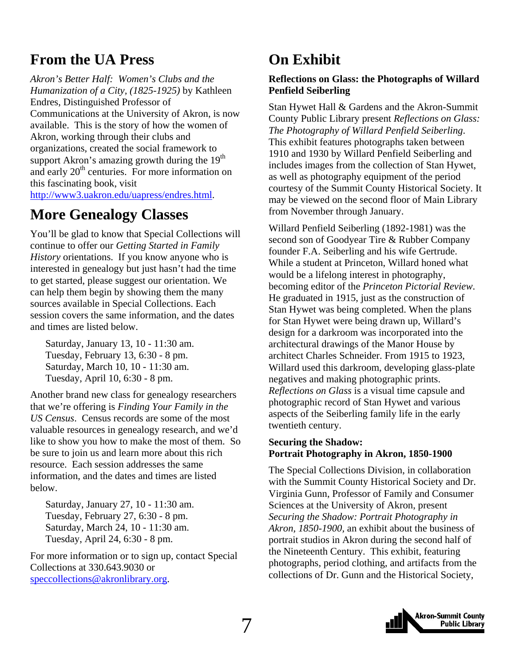### <span id="page-6-0"></span>**From the UA Press**

*Akron's Better Half: Women's Clubs and the Humanization of a City, (1825-1925)* by Kathleen Endres, Distinguished Professor of Communications at the University of Akron, is now available. This is the story of how the women of Akron, working through their clubs and organizations, created the social framework to support Akron's amazing growth during the 19<sup>th</sup> and early  $20<sup>th</sup>$  centuries. For more information on this fascinating book, visit <http://www3.uakron.edu/uapress/endres.html>.

### **More Genealogy Classes**

You'll be glad to know that Special Collections will continue to offer our *Getting Started in Family History* orientations. If you know anyone who is interested in genealogy but just hasn't had the time to get started, please suggest our orientation. We can help them begin by showing them the many sources available in Special Collections. Each session covers the same information, and the dates and times are listed below.

Saturday, January 13, 10 - 11:30 am. Tuesday, February 13, 6:30 - 8 pm. Saturday, March 10, 10 - 11:30 am. Tuesday, April 10, 6:30 - 8 pm.

Another brand new class for genealogy researchers that we're offering is *Finding Your Family in the US Census*. Census records are some of the most valuable resources in genealogy research, and we'd like to show you how to make the most of them. So be sure to join us and learn more about this rich resource. Each session addresses the same information, and the dates and times are listed below.

Saturday, January 27, 10 - 11:30 am. Tuesday, February 27, 6:30 - 8 pm. Saturday, March 24, 10 - 11:30 am. Tuesday, April 24, 6:30 - 8 pm.

For more information or to sign up, contact Special Collections at 330.643.9030 or [speccollections@akronlibrary.org.](mailto:speccollections@akronlibrary.org)

### **On Exhibit**

#### **Reflections on Glass: the Photographs of Willard Penfield Seiberling**

Stan Hywet Hall & Gardens and the Akron-Summit County Public Library present *Reflections on Glass: The Photography of Willard Penfield Seiberling*. This exhibit features photographs taken between 1910 and 1930 by Willard Penfield Seiberling and includes images from the collection of Stan Hywet, as well as photography equipment of the period courtesy of the Summit County Historical Society. It may be viewed on the second floor of Main Library from November through January.

Willard Penfield Seiberling (1892-1981) was the second son of Goodyear Tire & Rubber Company founder F.A. Seiberling and his wife Gertrude. While a student at Princeton, Willard honed what would be a lifelong interest in photography, becoming editor of the *Princeton Pictorial Review*. He graduated in 1915, just as the construction of Stan Hywet was being completed. When the plans for Stan Hywet were being drawn up, Willard's design for a darkroom was incorporated into the architectural drawings of the Manor House by architect Charles Schneider. From 1915 to 1923, Willard used this darkroom, developing glass-plate negatives and making photographic prints. *Reflections on Glass* is a visual time capsule and photographic record of Stan Hywet and various aspects of the Seiberling family life in the early twentieth century.

#### **Securing the Shadow: Portrait Photography in Akron, 1850-1900**

The Special Collections Division, in collaboration with the Summit County Historical Society and Dr. Virginia Gunn, Professor of Family and Consumer Sciences at the University of Akron, present *Securing the Shadow: Portrait Photography in Akron, 1850-1900,* an exhibit about the business of portrait studios in Akron during the second half of the Nineteenth Century. This exhibit, featuring photographs, period clothing, and artifacts from the collections of Dr. Gunn and the Historical Society,

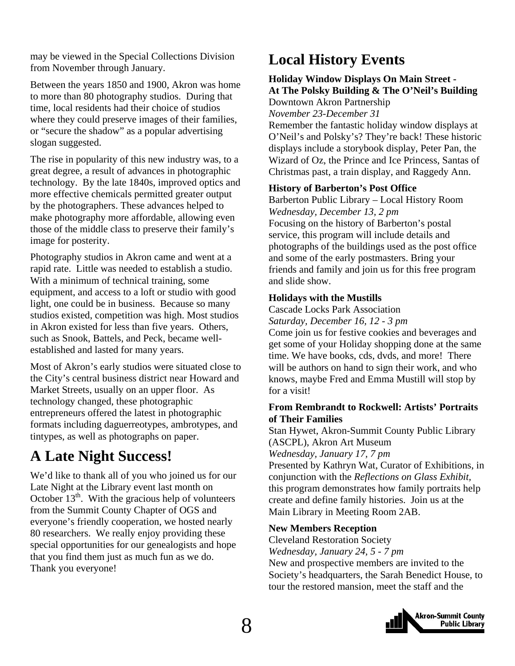<span id="page-7-0"></span>may be viewed in the Special Collections Division from November through January.

Between the years 1850 and 1900, Akron was home to more than 80 photography studios. During that time, local residents had their choice of studios where they could preserve images of their families, or "secure the shadow" as a popular advertising slogan suggested.

The rise in popularity of this new industry was, to a great degree, a result of advances in photographic technology. By the late 1840s, improved optics and more effective chemicals permitted greater output by the photographers. These advances helped to make photography more affordable, allowing even those of the middle class to preserve their family's image for posterity.

Photography studios in Akron came and went at a rapid rate. Little was needed to establish a studio. With a minimum of technical training, some equipment, and access to a loft or studio with good light, one could be in business. Because so many studios existed, competition was high. Most studios in Akron existed for less than five years. Others, such as Snook, Battels, and Peck, became wellestablished and lasted for many years.

Most of Akron's early studios were situated close to the City's central business district near Howard and Market Streets, usually on an upper floor. As technology changed, these photographic entrepreneurs offered the latest in photographic formats including daguerreotypes, ambrotypes, and tintypes, as well as photographs on paper.

### **A Late Night Success!**

We'd like to thank all of you who joined us for our Late Night at the Library event last month on October  $13<sup>th</sup>$ . With the gracious help of volunteers from the Summit County Chapter of OGS and everyone's friendly cooperation, we hosted nearly 80 researchers. We really enjoy providing these special opportunities for our genealogists and hope that you find them just as much fun as we do. Thank you everyone!

### **Local History Events**

#### **Holiday Window Displays On Main Street - At The Polsky Building & The O'Neil's Building**

Downtown Akron Partnership

*November 23-December 31* 

Remember the fantastic holiday window displays at O'Neil's and Polsky's? They're back! These historic displays include a storybook display, Peter Pan, the Wizard of Oz, the Prince and Ice Princess, Santas of Christmas past, a train display, and Raggedy Ann.

#### **History of Barberton's Post Office**

Barberton Public Library – Local History Room *Wednesday, December 13, 2 pm*  Focusing on the history of Barberton's postal service, this program will include details and photographs of the buildings used as the post office and some of the early postmasters. Bring your friends and family and join us for this free program and slide show.

#### **Holidays with the Mustills**

Cascade Locks Park Association

*Saturday, December 16, 12 - 3 pm*  Come join us for festive cookies and beverages and

get some of your Holiday shopping done at the same time. We have books, cds, dvds, and more! There will be authors on hand to sign their work, and who knows, maybe Fred and Emma Mustill will stop by for a visit!

#### **From Rembrandt to Rockwell: Artists' Portraits of Their Families**

Stan Hywet, Akron-Summit County Public Library (ASCPL), Akron Art Museum *Wednesday, January 17, 7 pm* 

Presented by Kathryn Wat, Curator of Exhibitions, in conjunction with the *Reflections on Glass Exhibit,*  this program demonstrates how family portraits help create and define family histories. Join us at the Main Library in Meeting Room 2AB.

#### **New Members Reception**

Cleveland Restoration Society

*Wednesday, January 24, 5 - 7 pm*  New and prospective members are invited to the

Society's headquarters, the Sarah Benedict House, to tour the restored mansion, meet the staff and the

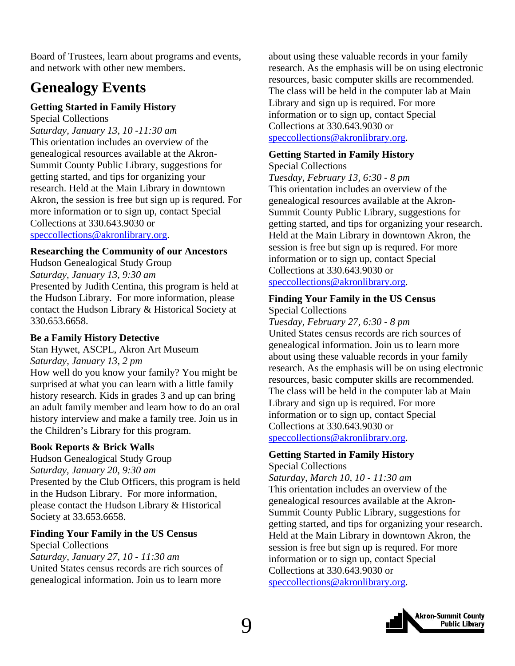<span id="page-8-0"></span>Board of Trustees, learn about programs and events, and network with other new members.

### **Genealogy Events**

#### **Getting Started in Family History**

Special Collections

*Saturday, January 13, 10 -11:30 am*  This orientation includes an overview of the genealogical resources available at the Akron-Summit County Public Library, suggestions for getting started, and tips for organizing your research. Held at the Main Library in downtown Akron, the session is free but sign up is requred. For more information or to sign up, contact Special Collections at 330.643.9030 or [speccollections@akronlibrary.org.](mailto:speccollections@akronlibrary.org)

#### **Researching the Community of our Ancestors**

Hudson Genealogical Study Group *Saturday, January 13, 9:30 am*  Presented by Judith Centina, this program is held at the Hudson Library. For more information, please contact the Hudson Library & Historical Society at 330.653.6658.

#### **Be a Family History Detective**

Stan Hywet, ASCPL, Akron Art Museum *Saturday, January 13, 2 pm* 

How well do you know your family? You might be surprised at what you can learn with a little family history research. Kids in grades 3 and up can bring an adult family member and learn how to do an oral history interview and make a family tree. Join us in the Children's Library for this program.

#### **Book Reports & Brick Walls**

Hudson Genealogical Study Group *Saturday, January 20, 9:30 am*  Presented by the Club Officers, this program is held in the Hudson Library. For more information, please contact the Hudson Library & Historical Society at 33.653.6658.

#### **Finding Your Family in the US Census**

Special Collections *Saturday, January 27, 10 - 11:30 am*  United States census records are rich sources of genealogical information. Join us to learn more

about using these valuable records in your family research. As the emphasis will be on using electronic resources, basic computer skills are recommended. The class will be held in the computer lab at Main Library and sign up is required. For more information or to sign up, contact Special Collections at 330.643.9030 or

[speccollections@akronlibrary.org](mailto:speccollections@akronlibrary.org).

#### **Getting Started in Family History**

Special Collections *Tuesday, February 13, 6:30 - 8 pm*  This orientation includes an overview of the genealogical resources available at the Akron-Summit County Public Library, suggestions for getting started, and tips for organizing your research. Held at the Main Library in downtown Akron, the session is free but sign up is requred. For more information or to sign up, contact Special Collections at 330.643.9030 or [speccollections@akronlibrary.org](mailto:speccollections@akronlibrary.org).

#### **Finding Your Family in the US Census**

Special Collections

*Tuesday, February 27, 6:30 - 8 pm*  United States census records are rich sources of genealogical information. Join us to learn more about using these valuable records in your family research. As the emphasis will be on using electronic resources, basic computer skills are recommended. The class will be held in the computer lab at Main Library and sign up is required. For more information or to sign up, contact Special Collections at 330.643.9030 or [speccollections@akronlibrary.org](mailto:speccollections@akronlibrary.org).

#### **Getting Started in Family History**

Special Collections *Saturday, March 10, 10 - 11:30 am*  This orientation includes an overview of the genealogical resources available at the Akron-Summit County Public Library, suggestions for getting started, and tips for organizing your research. Held at the Main Library in downtown Akron, the session is free but sign up is requred. For more information or to sign up, contact Special Collections at 330.643.9030 or [speccollections@akronlibrary.org](mailto:speccollections@akronlibrary.org).

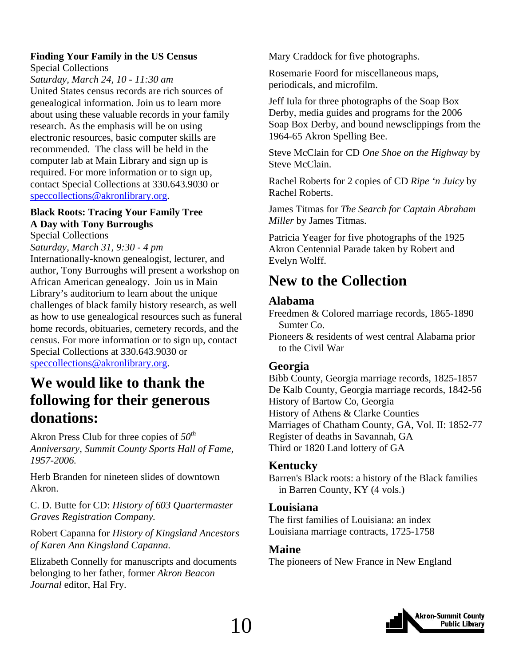#### <span id="page-9-0"></span>**Finding Your Family in the US Census**

Special Collections

*Saturday, March 24, 10 - 11:30 am* 

United States census records are rich sources of genealogical information. Join us to learn more about using these valuable records in your family research. As the emphasis will be on using electronic resources, basic computer skills are recommended. The class will be held in the computer lab at Main Library and sign up is required. For more information or to sign up, contact Special Collections at 330.643.9030 or [speccollections@akronlibrary.org.](mailto:speccollections@akronlibrary.org)

#### **Black Roots: Tracing Your Family Tree A Day with Tony Burroughs**

Special Collections

*Saturday, March 31, 9:30 - 4 pm* 

Internationally-known genealogist, lecturer, and author, Tony Burroughs will present a workshop on African American genealogy. Join us in Main Library's auditorium to learn about the unique challenges of black family history research, as well as how to use genealogical resources such as funeral home records, obituaries, cemetery records, and the census. For more information or to sign up, contact Special Collections at 330.643.9030 or [speccollections@akronlibrary.org.](mailto:speccollections@akronlibrary.org)

### **We would like to thank the following for their generous donations:**

Akron Press Club for three copies of *50th Anniversary, Summit County Sports Hall of Fame, 1957-2006.* 

Herb Branden for nineteen slides of downtown Akron.

C. D. Butte for CD: *History of 603 Quartermaster Graves Registration Company.* 

Robert Capanna for *History of Kingsland Ancestors of Karen Ann Kingsland Capanna.* 

Elizabeth Connelly for manuscripts and documents belonging to her father, former *Akron Beacon Journal* editor, Hal Fry.

Mary Craddock for five photographs.

Rosemarie Foord for miscellaneous maps, periodicals, and microfilm.

Jeff Iula for three photographs of the Soap Box Derby, media guides and programs for the 2006 Soap Box Derby, and bound newsclippings from the 1964-65 Akron Spelling Bee.

Steve McClain for CD *One Shoe on the Highway* by Steve McClain.

Rachel Roberts for 2 copies of CD *Ripe 'n Juicy* by Rachel Roberts.

James Titmas for *The Search for Captain Abraham Miller* by James Titmas.

Patricia Yeager for five photographs of the 1925 Akron Centennial Parade taken by Robert and Evelyn Wolff.

### **New to the Collection**

#### **Alabama**

Freedmen & Colored marriage records, 1865-1890 Sumter Co.

Pioneers & residents of west central Alabama prior to the Civil War

#### **Georgia**

Bibb County, Georgia marriage records, 1825-1857 De Kalb County, Georgia marriage records, 1842-56 History of Bartow Co, Georgia History of Athens & Clarke Counties Marriages of Chatham County, GA, Vol. II: 1852-77 Register of deaths in Savannah, GA Third or 1820 Land lottery of GA

#### **Kentucky**

Barren's Black roots: a history of the Black families in Barren County, KY (4 vols.)

#### **Louisiana**

The first families of Louisiana: an index Louisiana marriage contracts, 1725-1758

#### **Maine**

The pioneers of New France in New England

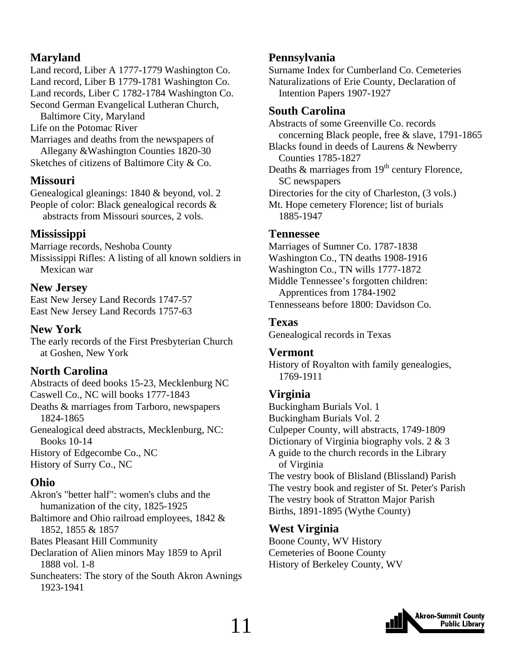### **Maryland**

Land record, Liber A 1777-1779 Washington Co. Land record, Liber B 1779-1781 Washington Co. Land records, Liber C 1782-1784 Washington Co. Second German Evangelical Lutheran Church,

Baltimore City, Maryland

Life on the Potomac River

Marriages and deaths from the newspapers of Allegany &Washington Counties 1820-30 Sketches of citizens of Baltimore City & Co.

#### **Missouri**

Genealogical gleanings: 1840 & beyond, vol. 2 People of color: Black genealogical records & abstracts from Missouri sources, 2 vols.

#### **Mississippi**

Marriage records, Neshoba County Mississippi Rifles: A listing of all known soldiers in Mexican war

#### **New Jersey**

East New Jersey Land Records 1747-57 East New Jersey Land Records 1757-63

#### **New York**

The early records of the First Presbyterian Church at Goshen, New York

#### **North Carolina**

Abstracts of deed books 15-23, Mecklenburg NC Caswell Co., NC will books 1777-1843 Deaths & marriages from Tarboro, newspapers 1824-1865 Genealogical deed abstracts, Mecklenburg, NC: Books 10-14 History of Edgecombe Co., NC

History of Surry Co., NC

#### **Ohio**

Akron's "better half": women's clubs and the humanization of the city, 1825-1925 Baltimore and Ohio railroad employees, 1842 & 1852, 1855 & 1857 Bates Pleasant Hill Community Declaration of Alien minors May 1859 to April 1888 vol. 1-8 Suncheaters: The story of the South Akron Awnings 1923-1941

#### **Pennsylvania**

Surname Index for Cumberland Co. Cemeteries Naturalizations of Erie County, Declaration of Intention Papers 1907-1927

#### **South Carolina**

Abstracts of some Greenville Co. records concerning Black people, free & slave, 1791-1865 Blacks found in deeds of Laurens & Newberry Counties 1785-1827 Deaths  $\&$  marriages from  $19<sup>th</sup>$  century Florence, SC newspapers Directories for the city of Charleston, (3 vols.) Mt. Hope cemetery Florence; list of burials 1885-1947

#### **Tennessee**

Marriages of Sumner Co. 1787-1838 Washington Co., TN deaths 1908-1916 Washington Co., TN wills 1777-1872 Middle Tennessee's forgotten children: Apprentices from 1784-1902 Tennesseans before 1800: Davidson Co.

#### **Texas**

Genealogical records in Texas

#### **Vermont**

History of Royalton with family genealogies, 1769-1911

#### **Virginia**

Buckingham Burials Vol. 1 Buckingham Burials Vol. 2 Culpeper County, will abstracts, 1749-1809 Dictionary of Virginia biography vols. 2 & 3 A guide to the church records in the Library of Virginia The vestry book of Blisland (Blissland) Parish The vestry book and register of St. Peter's Parish The vestry book of Stratton Major Parish Births, 1891-1895 (Wythe County)

#### **West Virginia**

Boone County, WV History Cemeteries of Boone County History of Berkeley County, WV